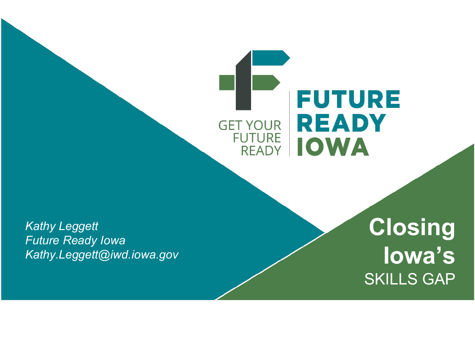#### **FUTURE READY GET YOUR FUTURE | IOWA**

*Kathy Leggett Future Ready Iowa Kathy.Leggett@iwd.iowa.gov*

**Closing Iowa's**  SKILLS GAP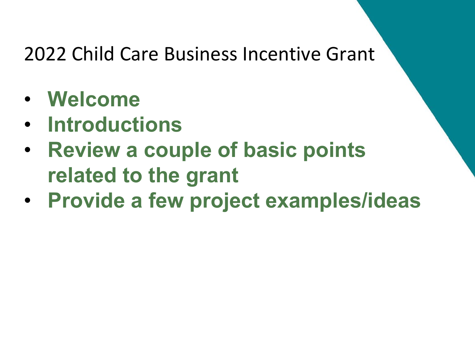- **Welcome**
- **Introductions**
- **Review a couple of basic points related to the grant**
- **Provide a few project examples/ideas**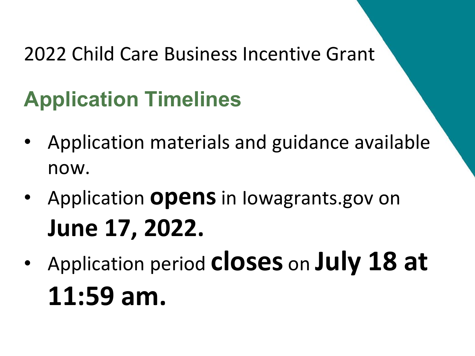### **Application Timelines**

- Application materials and guidance available now.
- Application **opens**in Iowagrants.gov on **June 17, 2022.**
- Application period **closes** on **July 18 at 11:59 am.**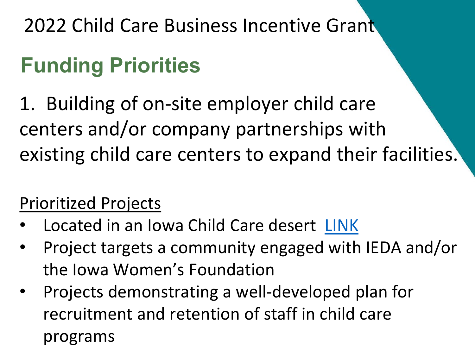### **Funding Priorities**

1. Building of on-site employer child care centers and/or company partnerships with existing child care centers to expand their facilities.

#### Prioritized Projects

- Located in an Iowa Child Care desert [LINK](https://iowaccrr.org/resources/files/Data/FY20/Desert%20Data%202020/Desert%20Data%202020.pdf?swg_a2bc=1)
- Project targets a community engaged with IEDA and/or the Iowa Women's Foundation
- Projects demonstrating a well-developed plan for recruitment and retention of staff in child care programs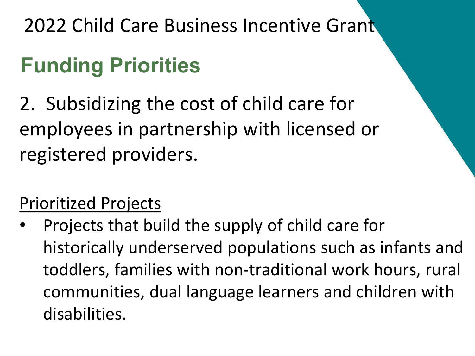### **Funding Priorities**

2. Subsidizing the cost of child care for employees in partnership with licensed or registered providers.

#### Prioritized Projects

• Projects that build the supply of child care for historically underserved populations such as infants and toddlers, families with non-traditional work hours, rural communities, dual language learners and children with disabilities.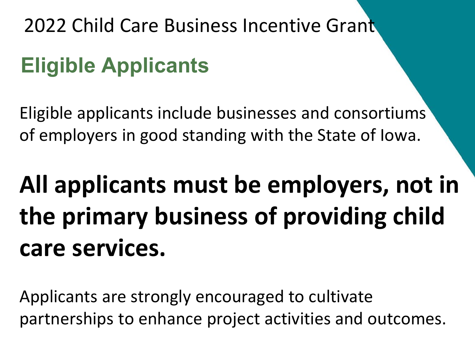### **Eligible Applicants**

Eligible applicants include businesses and consortiums of employers in good standing with the State of Iowa.

## **All applicants must be employers, not in the primary business of providing child care services.**

Applicants are strongly encouraged to cultivate partnerships to enhance project activities and outcomes.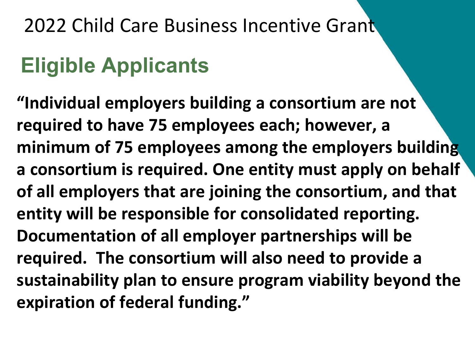### **Eligible Applicants**

**"Individual employers building a consortium are not required to have 75 employees each; however, a minimum of 75 employees among the employers building a consortium is required. One entity must apply on behalf of all employers that are joining the consortium, and that entity will be responsible for consolidated reporting. Documentation of all employer partnerships will be required. The consortium will also need to provide a sustainability plan to ensure program viability beyond the expiration of federal funding."**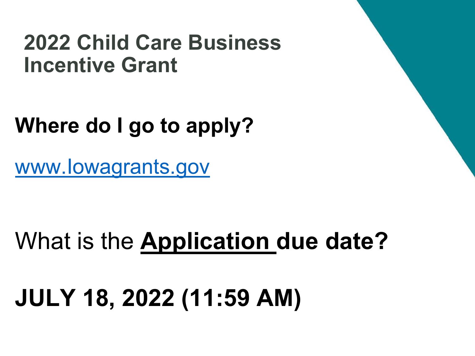### **Where do I go to apply?**

[www.Iowagrants.gov](https://www.iowagrants.gov/index.do)

### What is the **Application due date?**

## **JULY 18, 2022 (11:59 AM)**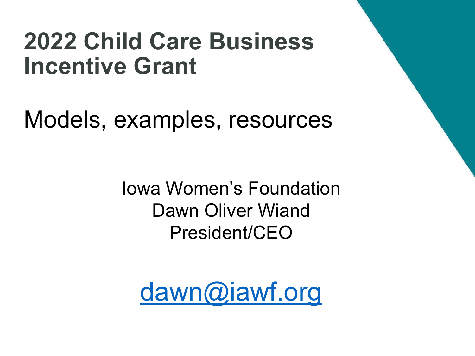Models, examples, resources

Iowa Women's Foundation Dawn Oliver Wiand President/CEO

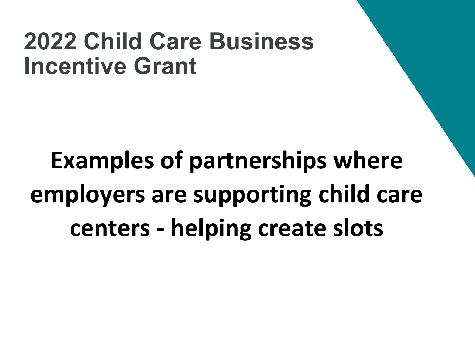**Examples of partnerships where employers are supporting child care centers - helping create slots**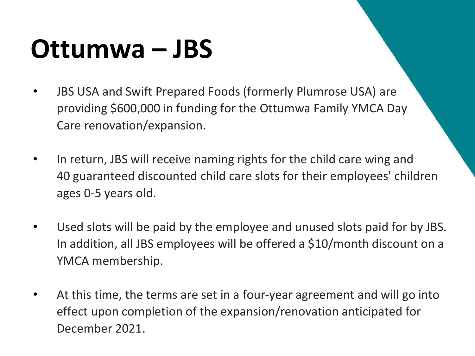## **Ottumwa – JBS**

- JBS USA and Swift Prepared Foods (formerly Plumrose USA) are providing \$600,000 in funding for the Ottumwa Family YMCA Day Care renovation/expansion.
- In return, JBS will receive naming rights for the child care wing and 40 guaranteed discounted child care slots for their employees' children ages 0-5 years old.
- Used slots will be paid by the employee and unused slots paid for by JBS. In addition, all JBS employees will be offered a \$10/month discount on a YMCA membership.
- At this time, the terms are set in a four-year agreement and will go into effect upon completion of the expansion/renovation anticipated for December 2021.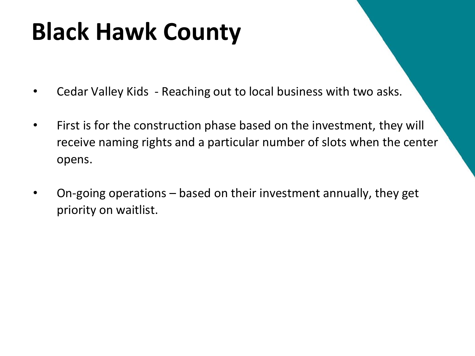### **Black Hawk County**

- Cedar Valley Kids Reaching out to local business with two asks.
- First is for the construction phase based on the investment, they will receive naming rights and a particular number of slots when the center opens.
- On-going operations based on their investment annually, they get priority on waitlist.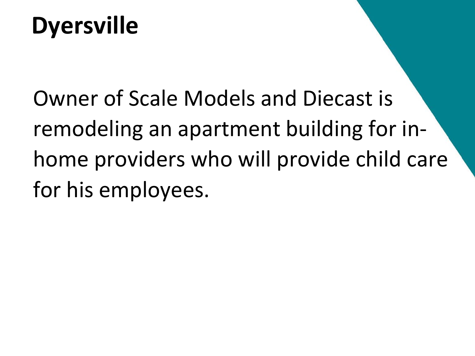### **Dyersville**

Owner of Scale Models and Diecast is remodeling an apartment building for inhome providers who will provide child care for his employees.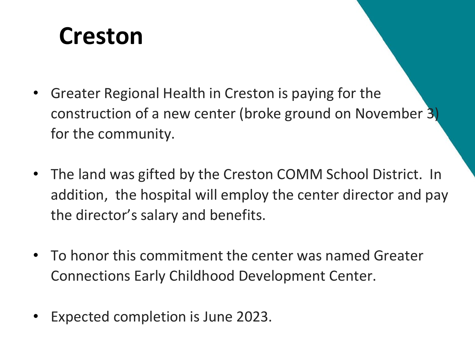### **Creston**

- Greater Regional Health in Creston is paying for the construction of a new center (broke ground on November 3) for the community.
- The land was gifted by the Creston COMM School District. In addition, the hospital will employ the center director and pay the director's salary and benefits.
- To honor this commitment the center was named Greater Connections Early Childhood Development Center.
- Expected completion is June 2023.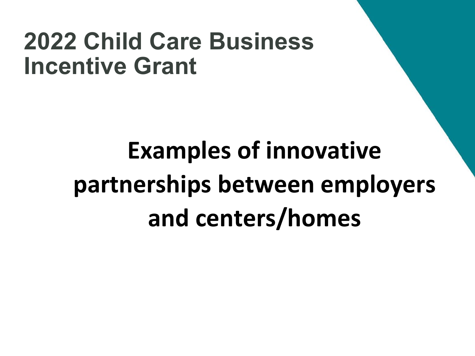## **Examples of innovative partnerships between employers and centers/homes**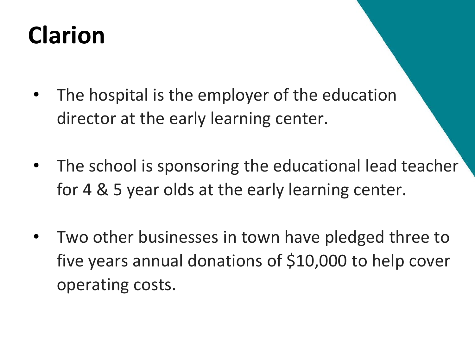## **Clarion**

- The hospital is the employer of the education director at the early learning center.
- The school is sponsoring the educational lead teacher for 4 & 5 year olds at the early learning center.
- Two other businesses in town have pledged three to five years annual donations of \$10,000 to help cover operating costs.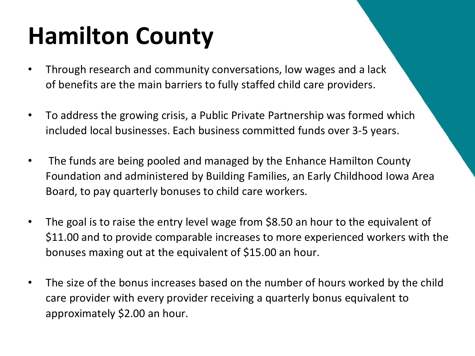## **Hamilton County**

- Through research and community conversations, low wages and a lack of benefits are the main barriers to fully staffed child care providers.
- To address the growing crisis, a Public Private Partnership was formed which included local businesses. Each business committed funds over 3-5 years.
- The funds are being pooled and managed by the Enhance Hamilton County Foundation and administered by Building Families, an Early Childhood Iowa Area Board, to pay quarterly bonuses to child care workers.
- The goal is to raise the entry level wage from \$8.50 an hour to the equivalent of \$11.00 and to provide comparable increases to more experienced workers with the bonuses maxing out at the equivalent of \$15.00 an hour.
- The size of the bonus increases based on the number of hours worked by the child care provider with every provider receiving a quarterly bonus equivalent to approximately \$2.00 an hour.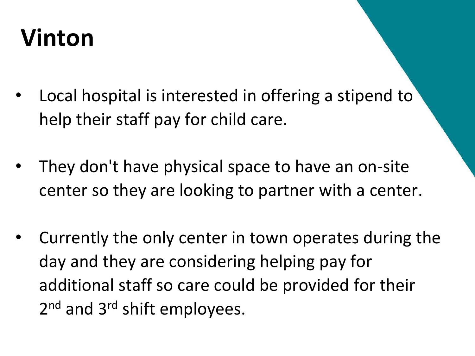## **Vinton**

- Local hospital is interested in offering a stipend to help their staff pay for child care.
- They don't have physical space to have an on-site center so they are looking to partner with a center.
- Currently the only center in town operates during the day and they are considering helping pay for additional staff so care could be provided for their 2<sup>nd</sup> and 3<sup>rd</sup> shift employees.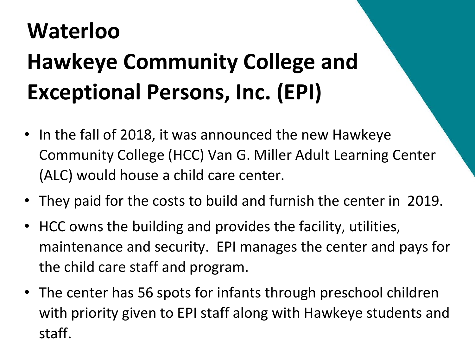## **Waterloo Hawkeye Community College and Exceptional Persons, Inc. (EPI)**

- In the fall of 2018, it was announced the new Hawkeye Community College (HCC) Van G. Miller Adult Learning Center (ALC) would house a child care center.
- They paid for the costs to build and furnish the center in 2019.
- HCC owns the building and provides the facility, utilities, maintenance and security. EPI manages the center and pays for the child care staff and program.
- The center has 56 spots for infants through preschool children with priority given to EPI staff along with Hawkeye students and staff.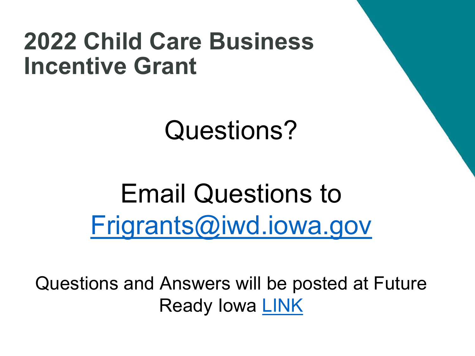Questions?

Email Questions to [Frigrants@iwd.iowa.gov](mailto:Frigrants@iwd.iowa.gov)

Questions and Answers will be posted at Future Ready Iowa [LINK](https://www.futurereadyiowa.gov/child-care-grants)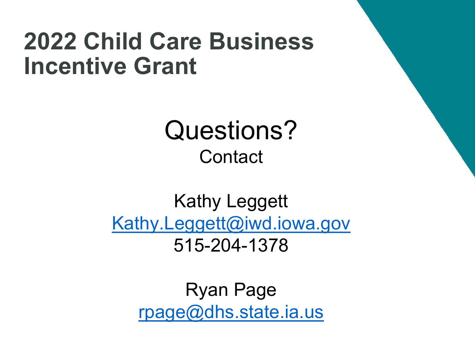### Questions? **Contact**

#### Kathy Leggett [Kathy.Leggett@iwd.iowa.gov](mailto:Kathy.Leggett@iwd.iowa.gov) 515-204-1378

Ryan Page [rpage@dhs.state.ia.us](mailto:rpage@dhs.state.ia.us)